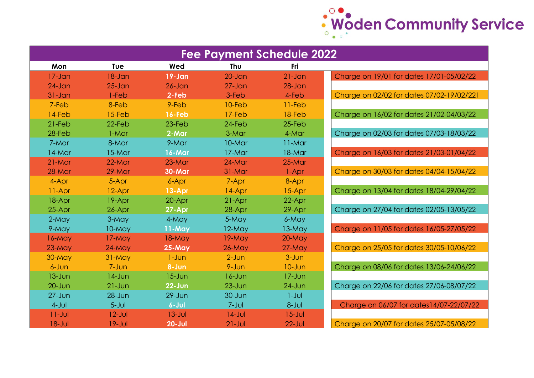

| <b>Fee Payment Schedule 2022</b> |            |               |             |            |                                           |  |  |  |
|----------------------------------|------------|---------------|-------------|------------|-------------------------------------------|--|--|--|
| Mon                              | Tue        | Wed           | Thu         | Fri        |                                           |  |  |  |
| $17 - Jan$                       | $18 - Jan$ | $19 - Jan$    | $20 - Jan$  | $21 - Jan$ | Charge on 19/01 for dates 17/01-05/02/22  |  |  |  |
| $24$ -Jan                        | $25 - Jan$ | $26 - Jan$    | $27 - Jan$  | $28 - Jan$ |                                           |  |  |  |
| $31 - Jan$                       | $1-Feb$    | 2-Feb         | 3-Feb       | 4-Feb      | Charge on 02/02 for dates 07/02-19/02/221 |  |  |  |
| 7-Feb                            | 8-Feb      | 9-Feb         | 10-Feb      | $11-Feb$   |                                           |  |  |  |
| 14-Feb                           | 15-Feb     | $16 - Feb$    | $17-Feb$    | 18-Feb     | Charge on 16/02 for dates 21/02-04/03/22  |  |  |  |
| $21-Feb$                         | 22-Feb     | 23-Feb        | 24-Feb      | $25-Feb$   |                                           |  |  |  |
| 28-Feb                           | 1-Mar      | 2-Mar         | 3-Mar       | 4-Mar      | Charge on 02/03 for dates 07/03-18/03/22  |  |  |  |
| 7-Mar                            | 8-Mar      | 9-Mar         | 10-Mar      | $11-Mar$   |                                           |  |  |  |
| 14-Mar                           | 15-Mar     | 16-Mar        | 17-Mar      | 18-Mar     | Charge on 16/03 for dates 21/03-01/04/22  |  |  |  |
| $21-Mar$                         | 22-Mar     | $23-Mar$      | $24-Mar$    | 25-Mar     |                                           |  |  |  |
| 28-Mar                           | 29-Mar     | <b>30-Mar</b> | 31-Mar      | 1-Apr      | Charge on 30/03 for dates 04/04-15/04/22  |  |  |  |
| 4-Apr                            | 5-Apr      | 6-Apr         | 7-Apr       | 8-Apr      |                                           |  |  |  |
| 11-Apr                           | 12-Apr     | 13-Apr        | 14-Apr      | 15-Apr     | Charge on 13/04 for dates 18/04-29/04/22  |  |  |  |
| 18-Apr                           | 19-Apr     | 20-Apr        | 21-Apr      | 22-Apr     |                                           |  |  |  |
| 25-Apr                           | 26-Apr     | 27-Apr        | 28-Apr      | 29-Apr     | Charge on 27/04 for dates 02/05-13/05/22  |  |  |  |
| $2-May$                          | 3-May      | 4-May         | 5-May       | 6-May      |                                           |  |  |  |
| 9-May                            | 10-May     | $11$ -May     | $12$ -May   | 13-May     | Charge on 11/05 for dates 16/05-27/05/22  |  |  |  |
| $16-May$                         | 17-May     | $18-May$      | 19-May      | $20$ -May  |                                           |  |  |  |
| $23-May$                         | $24$ -May  | 25-May        | $26$ -May   | $27$ -May  | Charge on 25/05 for dates 30/05-10/06/22  |  |  |  |
| $30-May$                         | $31-May$   | $1 - Jun$     | $2$ -Jun    | $3 - Jun$  |                                           |  |  |  |
| $6 - Jun$                        | 7-Jun      | 8-Jun         | 9-Jun       | $10 - Jun$ | Charge on 08/06 for dates 13/06-24/06/22  |  |  |  |
| $13 - Jun$                       | $14$ -Jun  | $15 - Jun$    | $16 - Jun$  | $17 - Jun$ |                                           |  |  |  |
| $20 - J$ un                      | $21 - Jun$ | $22 - Jun$    | $23 - Jun$  | $24$ -Jun  | Charge on 22/06 for dates 27/06-08/07/22  |  |  |  |
| $27 - Jun$                       | $28 - Jun$ | $29 - Jun$    | $30 - J$ un | $1 - JUI$  |                                           |  |  |  |
| $4-Jul$                          | $5 - J$ ul | $6 -$ Jul     | $7 - J$ ul  | $8 - J$ ul | Charge on 06/07 for dates14/07-22/07/22   |  |  |  |
| $11 -$ Jul                       | $12$ -Jul  | $13 - Jul$    | $14$ -Jul   | $15 -$ Jul |                                           |  |  |  |
| $18 - Jul$                       | $19 -$ Jul | $20 - Jul$    | $21 - Jul$  | $22$ -Jul  | Charge on 20/07 for dates 25/07-05/08/22  |  |  |  |